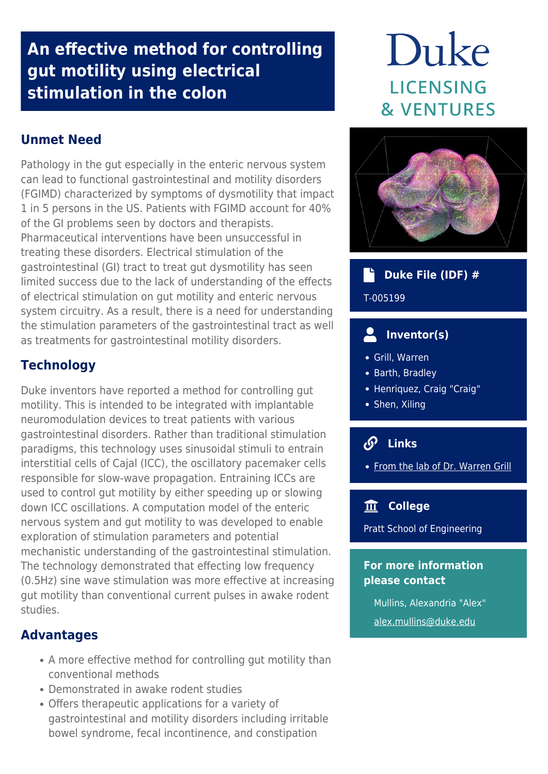# **An effective method for controlling gut motility using electrical stimulation in the colon**

# Duke **LICENSING & VENTURES**

# **Unmet Need**

Pathology in the gut especially in the enteric nervous system can lead to functional gastrointestinal and motility disorders (FGIMD) characterized by symptoms of dysmotility that impact 1 in 5 persons in the US. Patients with FGIMD account for 40% of the GI problems seen by doctors and therapists. Pharmaceutical interventions have been unsuccessful in treating these disorders. Electrical stimulation of the gastrointestinal (GI) tract to treat gut dysmotility has seen limited success due to the lack of understanding of the effects of electrical stimulation on gut motility and enteric nervous system circuitry. As a result, there is a need for understanding the stimulation parameters of the gastrointestinal tract as well as treatments for gastrointestinal motility disorders.

## **Technology**

Duke inventors have reported a method for controlling gut motility. This is intended to be integrated with implantable neuromodulation devices to treat patients with various gastrointestinal disorders. Rather than traditional stimulation paradigms, this technology uses sinusoidal stimuli to entrain interstitial cells of Cajal (ICC), the oscillatory pacemaker cells responsible for slow-wave propagation. Entraining ICCs are used to control gut motility by either speeding up or slowing down ICC oscillations. A computation model of the enteric nervous system and gut motility to was developed to enable exploration of stimulation parameters and potential mechanistic understanding of the gastrointestinal stimulation. The technology demonstrated that effecting low frequency (0.5Hz) sine wave stimulation was more effective at increasing gut motility than conventional current pulses in awake rodent studies.

### **Advantages**

- A more effective method for controlling gut motility than conventional methods
- Demonstrated in awake rodent studies
- Offers therapeutic applications for a variety of gastrointestinal and motility disorders including irritable bowel syndrome, fecal incontinence, and constipation



#### ٦Ť  **Duke File (IDF) #**

T-005199

#### Д  **Inventor(s)**

- Grill, Warren
- Barth, Bradley
- Henriquez, Craig "Craig"
- Shen, Xiling

# **Links**

• [From the lab of Dr. Warren Grill](http://grill-lab.pratt.duke.edu/research)

### **College**

Pratt School of Engineering

### **For more information please contact**

Mullins, Alexandria "Alex" [alex.mullins@duke.edu](mailto:alex.mullins@duke.edu)